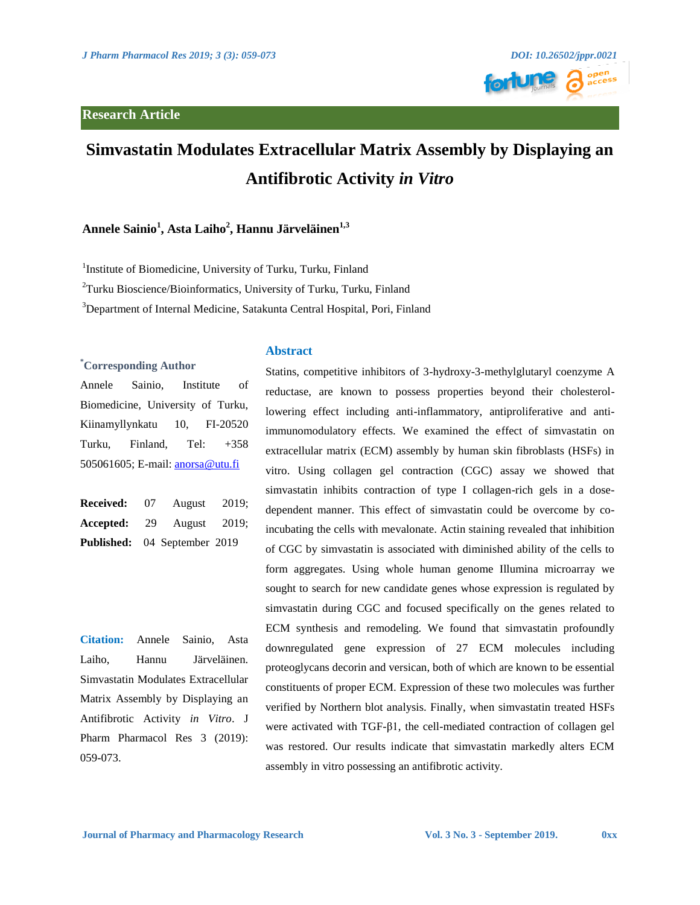

# **Simvastatin Modulates Extracellular Matrix Assembly by Displaying an Antifibrotic Activity** *in Vitro*

# **Annele Sainio<sup>1</sup> , Asta Laiho<sup>2</sup> , Hannu Järveläinen1,3**

<sup>1</sup>Institute of Biomedicine, University of Turku, Turku, Finland

<sup>2</sup>Turku Bioscience/Bioinformatics, University of Turku, Turku, Finland

<sup>3</sup>Department of Internal Medicine, Satakunta Central Hospital, Pori, Finland

**Abstract** 

## . **\* Corresponding Author**

Annele Sainio, Institute of Biomedicine, University of Turku, Kiinamyllynkatu 10, FI-20520 Turku, Finland, Tel: +358 505061605; E-mail: **anorsa@utu.fi** 

**Received:** 07 August 2019; **Accepted:** 29 August 2019; **Published:** 04 September 2019

**Citation:** Annele Sainio, Asta Laiho, Hannu Järveläinen. Simvastatin Modulates Extracellular Matrix Assembly by Displaying an Antifibrotic Activity *in Vitro*. J Pharm Pharmacol Res 3 (2019): 059-073.

Statins, competitive inhibitors of 3-hydroxy-3-methylglutaryl coenzyme A reductase, are known to possess properties beyond their cholesterollowering effect including anti-inflammatory, antiproliferative and antiimmunomodulatory effects. We examined the effect of simvastatin on extracellular matrix (ECM) assembly by human skin fibroblasts (HSFs) in vitro. Using collagen gel contraction (CGC) assay we showed that simvastatin inhibits contraction of type I collagen-rich gels in a dosedependent manner. This effect of simvastatin could be overcome by coincubating the cells with mevalonate. Actin staining revealed that inhibition of CGC by simvastatin is associated with diminished ability of the cells to form aggregates. Using whole human genome Illumina microarray we sought to search for new candidate genes whose expression is regulated by simvastatin during CGC and focused specifically on the genes related to ECM synthesis and remodeling. We found that simvastatin profoundly downregulated gene expression of 27 ECM molecules including proteoglycans decorin and versican, both of which are known to be essential constituents of proper ECM. Expression of these two molecules was further verified by Northern blot analysis. Finally, when simvastatin treated HSFs were activated with TGF-β1, the cell-mediated contraction of collagen gel was restored. Our results indicate that simvastatin markedly alters ECM assembly in vitro possessing an antifibrotic activity.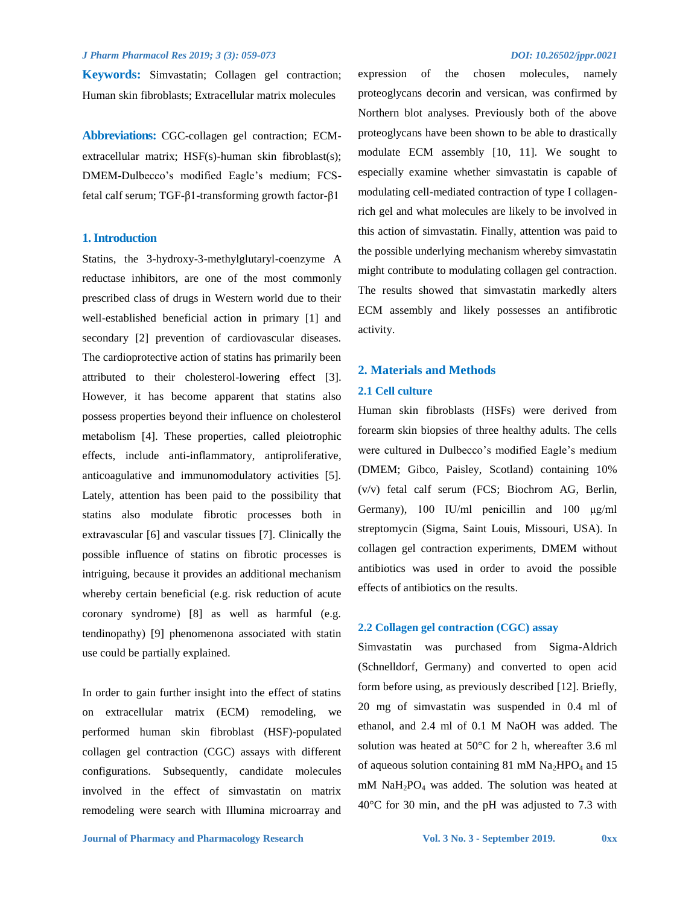**Keywords:** Simvastatin; Collagen gel contraction; Human skin fibroblasts; Extracellular matrix molecules

**Abbreviations:** CGC-collagen gel contraction; ECMextracellular matrix; HSF(s)-human skin fibroblast(s); DMEM-Dulbecco's modified Eagle's medium; FCSfetal calf serum; TGF-β1-transforming growth factor-β1

### **1. Introduction**

Statins, the 3-hydroxy-3-methylglutaryl-coenzyme A reductase inhibitors, are one of the most commonly prescribed class of drugs in Western world due to their well-established beneficial action in primary [1] and secondary [2] prevention of cardiovascular diseases. The cardioprotective action of statins has primarily been attributed to their cholesterol-lowering effect [3]. However, it has become apparent that statins also possess properties beyond their influence on cholesterol metabolism [4]. These properties, called pleiotrophic effects, include anti-inflammatory, antiproliferative, anticoagulative and immunomodulatory activities [5]. Lately, attention has been paid to the possibility that statins also modulate fibrotic processes both in extravascular [6] and vascular tissues [7]. Clinically the possible influence of statins on fibrotic processes is intriguing, because it provides an additional mechanism whereby certain beneficial (e.g. risk reduction of acute coronary syndrome) [8] as well as harmful (e.g. tendinopathy) [9] phenomenona associated with statin use could be partially explained.

In order to gain further insight into the effect of statins on extracellular matrix (ECM) remodeling, we performed human skin fibroblast (HSF)-populated collagen gel contraction (CGC) assays with different configurations. Subsequently, candidate molecules involved in the effect of simvastatin on matrix remodeling were search with Illumina microarray and expression of the chosen molecules, namely proteoglycans decorin and versican, was confirmed by Northern blot analyses. Previously both of the above proteoglycans have been shown to be able to drastically modulate ECM assembly [10, 11]. We sought to especially examine whether simvastatin is capable of modulating cell-mediated contraction of type I collagenrich gel and what molecules are likely to be involved in this action of simvastatin. Finally, attention was paid to the possible underlying mechanism whereby simvastatin might contribute to modulating collagen gel contraction. The results showed that simvastatin markedly alters ECM assembly and likely possesses an antifibrotic activity.

# **2. Materials and Methods**

#### **2.1 Cell culture**

Human skin fibroblasts (HSFs) were derived from forearm skin biopsies of three healthy adults. The cells were cultured in Dulbecco's modified Eagle's medium (DMEM; Gibco, Paisley, Scotland) containing 10% (v/v) fetal calf serum (FCS; Biochrom AG, Berlin, Germany), 100 IU/ml penicillin and 100 μg/ml streptomycin (Sigma, Saint Louis, Missouri, USA). In collagen gel contraction experiments, DMEM without antibiotics was used in order to avoid the possible effects of antibiotics on the results.

### **2.2 Collagen gel contraction (CGC) assay**

Simvastatin was purchased from Sigma-Aldrich (Schnelldorf, Germany) and converted to open acid form before using, as previously described [12]. Briefly, 20 mg of simvastatin was suspended in 0.4 ml of ethanol, and 2.4 ml of 0.1 M NaOH was added. The solution was heated at 50°C for 2 h, whereafter 3.6 ml of aqueous solution containing 81 mM  $Na<sub>2</sub>HPO<sub>4</sub>$  and 15 mM NaH2PO<sup>4</sup> was added. The solution was heated at 40°C for 30 min, and the pH was adjusted to 7.3 with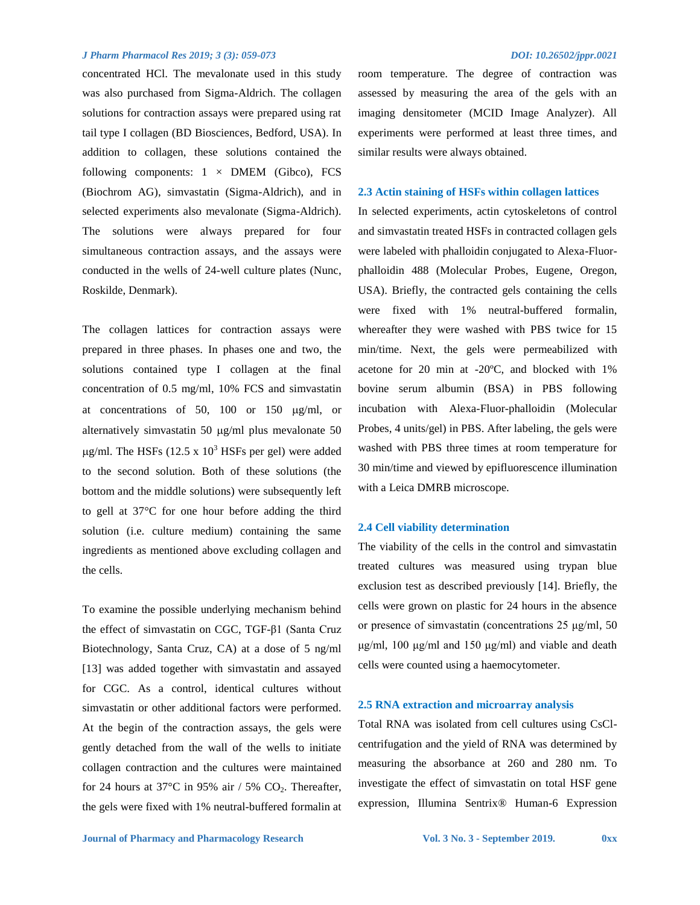concentrated HCl. The mevalonate used in this study was also purchased from Sigma-Aldrich. The collagen solutions for contraction assays were prepared using rat tail type I collagen (BD Biosciences, Bedford, USA). In addition to collagen, these solutions contained the following components:  $1 \times$  DMEM (Gibco), FCS (Biochrom AG), simvastatin (Sigma-Aldrich), and in selected experiments also mevalonate (Sigma-Aldrich). The solutions were always prepared for four simultaneous contraction assays, and the assays were conducted in the wells of 24-well culture plates (Nunc, Roskilde, Denmark).

The collagen lattices for contraction assays were prepared in three phases. In phases one and two, the solutions contained type I collagen at the final concentration of 0.5 mg/ml, 10% FCS and simvastatin at concentrations of 50, 100 or 150  $\mu$ g/ml, or alternatively simvastatin 50  $\mu$ g/ml plus mevalonate 50  $\mu$ g/ml. The HSFs (12.5 x 10<sup>3</sup> HSFs per gel) were added to the second solution. Both of these solutions (the bottom and the middle solutions) were subsequently left to gell at 37°C for one hour before adding the third solution (i.e. culture medium) containing the same ingredients as mentioned above excluding collagen and the cells.

To examine the possible underlying mechanism behind the effect of simvastatin on CGC, TGF-β1 (Santa Cruz Biotechnology, Santa Cruz, CA) at a dose of 5 ng/ml [13] was added together with simvastatin and assayed for CGC. As a control, identical cultures without simvastatin or other additional factors were performed. At the begin of the contraction assays, the gels were gently detached from the wall of the wells to initiate collagen contraction and the cultures were maintained for 24 hours at 37 $\degree$ C in 95% air / 5% CO<sub>2</sub>. Thereafter, the gels were fixed with 1% neutral-buffered formalin at room temperature. The degree of contraction was assessed by measuring the area of the gels with an imaging densitometer (MCID Image Analyzer). All experiments were performed at least three times, and similar results were always obtained.

#### **2.3 Actin staining of HSFs within collagen lattices**

In selected experiments, actin cytoskeletons of control and simvastatin treated HSFs in contracted collagen gels were labeled with phalloidin conjugated to Alexa-Fluorphalloidin 488 (Molecular Probes, Eugene, Oregon, USA). Briefly, the contracted gels containing the cells were fixed with 1% neutral-buffered formalin, whereafter they were washed with PBS twice for 15 min/time. Next, the gels were permeabilized with acetone for 20 min at -20ºC, and blocked with 1% bovine serum albumin (BSA) in PBS following incubation with Alexa-Fluor-phalloidin (Molecular Probes, 4 units/gel) in PBS. After labeling, the gels were washed with PBS three times at room temperature for 30 min/time and viewed by epifluorescence illumination with a Leica DMRB microscope.

#### **2.4 Cell viability determination**

The viability of the cells in the control and simvastatin treated cultures was measured using trypan blue exclusion test as described previously [14]. Briefly, the cells were grown on plastic for 24 hours in the absence or presence of simvastatin (concentrations 25 μg/ml, 50 μg/ml, 100 μg/ml and 150 μg/ml) and viable and death cells were counted using a haemocytometer.

#### **2.5 RNA extraction and microarray analysis**

Total RNA was isolated from cell cultures using CsClcentrifugation and the yield of RNA was determined by measuring the absorbance at 260 and 280 nm. To investigate the effect of simvastatin on total HSF gene expression, Illumina Sentrix® Human-6 Expression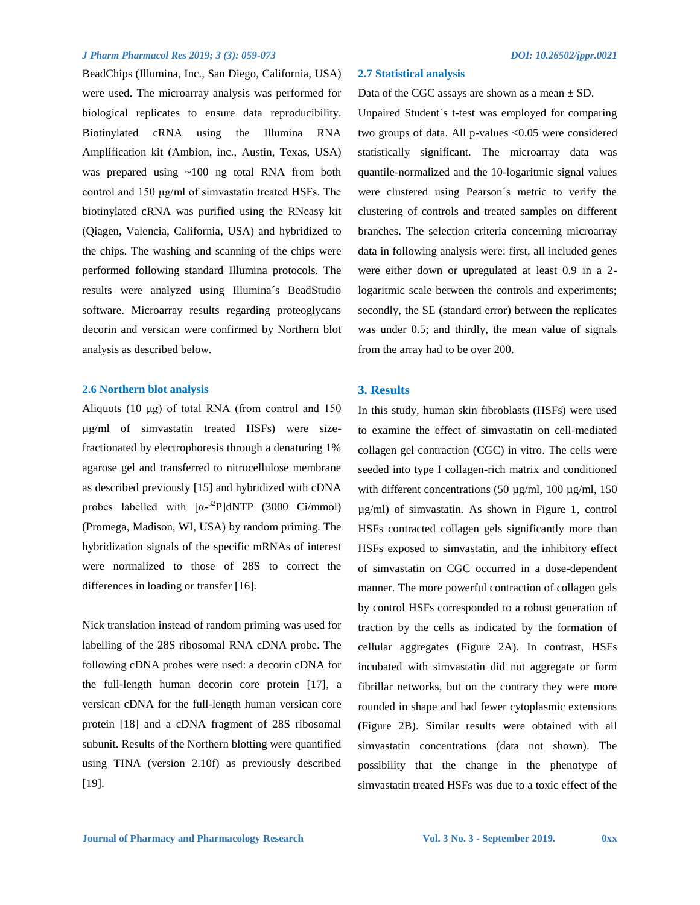BeadChips (Illumina, Inc., San Diego, California, USA) were used. The microarray analysis was performed for biological replicates to ensure data reproducibility. Biotinylated cRNA using the Illumina RNA Amplification kit (Ambion, inc., Austin, Texas, USA) was prepared using ~100 ng total RNA from both control and 150 μg/ml of simvastatin treated HSFs. The biotinylated cRNA was purified using the RNeasy kit (Qiagen, Valencia, California, USA) and hybridized to the chips. The washing and scanning of the chips were performed following standard Illumina protocols. The results were analyzed using Illumina´s BeadStudio software. Microarray results regarding proteoglycans decorin and versican were confirmed by Northern blot analysis as described below.

#### **2.6 Northern blot analysis**

Aliquots (10 μg) of total RNA (from control and 150 µg/ml of simvastatin treated HSFs) were sizefractionated by electrophoresis through a denaturing 1% agarose gel and transferred to nitrocellulose membrane as described previously [15] and hybridized with cDNA probes labelled with  $\left[\alpha^{-32}P\right]dNTP$  (3000 Ci/mmol) (Promega, Madison, WI, USA) by random priming. The hybridization signals of the specific mRNAs of interest were normalized to those of 28S to correct the differences in loading or transfer [16].

Nick translation instead of random priming was used for labelling of the 28S ribosomal RNA cDNA probe. The following cDNA probes were used: a decorin cDNA for the full-length human decorin core protein [17], a versican cDNA for the full-length human versican core protein [18] and a cDNA fragment of 28S ribosomal subunit. Results of the Northern blotting were quantified using TINA (version 2.10f) as previously described [19].

#### **2.7 Statistical analysis**

Data of the CGC assays are shown as a mean  $\pm$  SD.

Unpaired Student´s t-test was employed for comparing two groups of data. All p-values <0.05 were considered statistically significant. The microarray data was quantile-normalized and the 10-logaritmic signal values were clustered using Pearson´s metric to verify the clustering of controls and treated samples on different branches. The selection criteria concerning microarray data in following analysis were: first, all included genes were either down or upregulated at least 0.9 in a 2 logaritmic scale between the controls and experiments; secondly, the SE (standard error) between the replicates was under 0.5; and thirdly, the mean value of signals from the array had to be over 200.

### **3. Results**

In this study, human skin fibroblasts (HSFs) were used to examine the effect of simvastatin on cell-mediated collagen gel contraction (CGC) in vitro. The cells were seeded into type I collagen-rich matrix and conditioned with different concentrations  $(50 \text{ µg/ml}, 100 \text{ µg/ml}, 150$ µg/ml) of simvastatin. As shown in Figure 1, control HSFs contracted collagen gels significantly more than HSFs exposed to simvastatin, and the inhibitory effect of simvastatin on CGC occurred in a dose-dependent manner. The more powerful contraction of collagen gels by control HSFs corresponded to a robust generation of traction by the cells as indicated by the formation of cellular aggregates (Figure 2A). In contrast, HSFs incubated with simvastatin did not aggregate or form fibrillar networks, but on the contrary they were more rounded in shape and had fewer cytoplasmic extensions (Figure 2B). Similar results were obtained with all simvastatin concentrations (data not shown). The possibility that the change in the phenotype of simvastatin treated HSFs was due to a toxic effect of the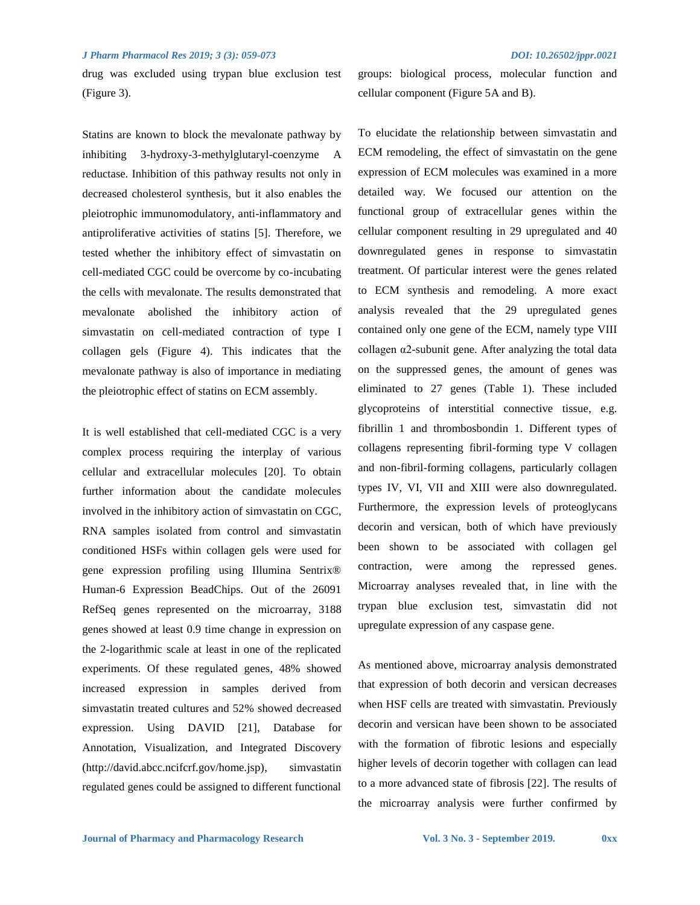drug was excluded using trypan blue exclusion test (Figure 3).

Statins are known to block the mevalonate pathway by inhibiting 3-hydroxy-3-methylglutaryl-coenzyme A reductase. Inhibition of this pathway results not only in decreased cholesterol synthesis, but it also enables the pleiotrophic immunomodulatory, anti-inflammatory and antiproliferative activities of statins [5]. Therefore, we tested whether the inhibitory effect of simvastatin on cell-mediated CGC could be overcome by co-incubating the cells with mevalonate. The results demonstrated that mevalonate abolished the inhibitory action of simvastatin on cell-mediated contraction of type I collagen gels (Figure 4). This indicates that the mevalonate pathway is also of importance in mediating the pleiotrophic effect of statins on ECM assembly.

It is well established that cell-mediated CGC is a very complex process requiring the interplay of various cellular and extracellular molecules [20]. To obtain further information about the candidate molecules involved in the inhibitory action of simvastatin on CGC, RNA samples isolated from control and simvastatin conditioned HSFs within collagen gels were used for gene expression profiling using Illumina Sentrix® Human-6 Expression BeadChips. Out of the 26091 RefSeq genes represented on the microarray, 3188 genes showed at least 0.9 time change in expression on the 2-logarithmic scale at least in one of the replicated experiments. Of these regulated genes, 48% showed increased expression in samples derived from simvastatin treated cultures and 52% showed decreased expression. Using DAVID [21], Database for Annotation, Visualization, and Integrated Discovery (http://david.abcc.ncifcrf.gov/home.jsp), simvastatin regulated genes could be assigned to different functional groups: biological process, molecular function and cellular component (Figure 5A and B).

To elucidate the relationship between simvastatin and ECM remodeling, the effect of simvastatin on the gene expression of ECM molecules was examined in a more detailed way. We focused our attention on the functional group of extracellular genes within the cellular component resulting in 29 upregulated and 40 downregulated genes in response to simvastatin treatment. Of particular interest were the genes related to ECM synthesis and remodeling. A more exact analysis revealed that the 29 upregulated genes contained only one gene of the ECM, namely type VIII collagen  $\alpha$ 2-subunit gene. After analyzing the total data on the suppressed genes, the amount of genes was eliminated to 27 genes (Table 1). These included glycoproteins of interstitial connective tissue, e.g. fibrillin 1 and thrombosbondin 1. Different types of collagens representing fibril-forming type V collagen and non-fibril-forming collagens, particularly collagen types IV, VI, VII and XIII were also downregulated. Furthermore, the expression levels of proteoglycans decorin and versican, both of which have previously been shown to be associated with collagen gel contraction, were among the repressed genes. Microarray analyses revealed that, in line with the trypan blue exclusion test, simvastatin did not upregulate expression of any caspase gene.

As mentioned above, microarray analysis demonstrated that expression of both decorin and versican decreases when HSF cells are treated with simvastatin. Previously decorin and versican have been shown to be associated with the formation of fibrotic lesions and especially higher levels of decorin together with collagen can lead to a more advanced state of fibrosis [22]. The results of the microarray analysis were further confirmed by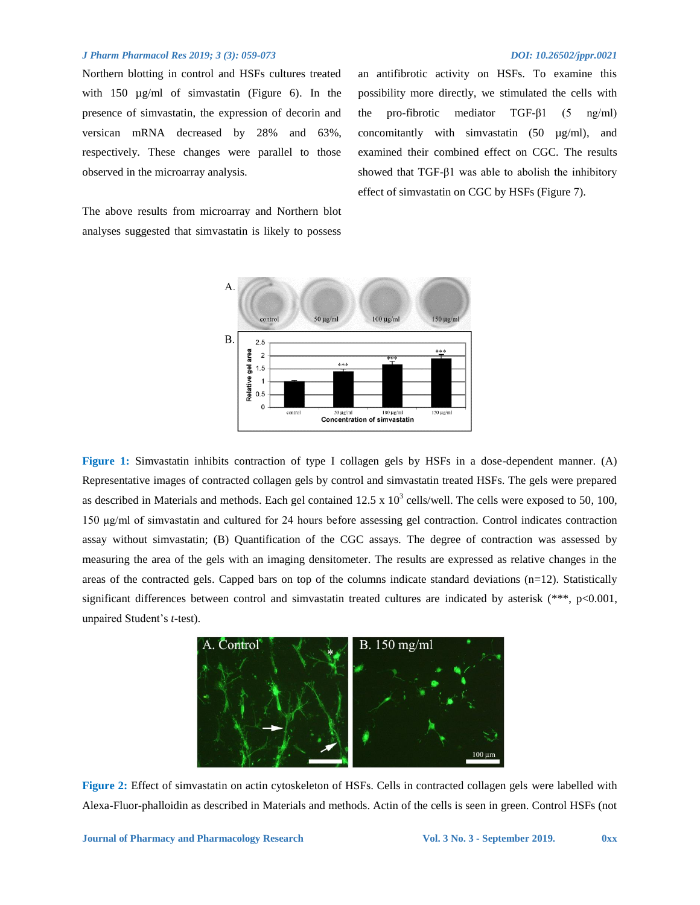observed in the microarray analysis.

Northern blotting in control and HSFs cultures treated with 150  $\mu$ g/ml of simvastatin (Figure 6). In the presence of simvastatin, the expression of decorin and versican mRNA decreased by 28% and 63%,

an antifibrotic activity on HSFs. To examine this possibility more directly, we stimulated the cells with the pro-fibrotic mediator TGF-β1 (5 ng/ml) concomitantly with simvastatin (50 µg/ml), and examined their combined effect on CGC. The results showed that TGF-β1 was able to abolish the inhibitory effect of simvastatin on CGC by HSFs (Figure 7).

The above results from microarray and Northern blot analyses suggested that simvastatin is likely to possess

respectively. These changes were parallel to those



**Figure 1:** Simvastatin inhibits contraction of type I collagen gels by HSFs in a dose-dependent manner. (A) Representative images of contracted collagen gels by control and simvastatin treated HSFs. The gels were prepared as described in Materials and methods. Each gel contained 12.5 x  $10^3$  cells/well. The cells were exposed to 50, 100, 150 μg/ml of simvastatin and cultured for 24 hours before assessing gel contraction. Control indicates contraction assay without simvastatin; (B) Quantification of the CGC assays. The degree of contraction was assessed by measuring the area of the gels with an imaging densitometer. The results are expressed as relative changes in the areas of the contracted gels. Capped bars on top of the columns indicate standard deviations  $(n=12)$ . Statistically significant differences between control and simvastatin treated cultures are indicated by asterisk (\*\*\*, p<0.001, unpaired Student's *t*-test).



**Figure 2:** Effect of simvastatin on actin cytoskeleton of HSFs. Cells in contracted collagen gels were labelled with Alexa-Fluor-phalloidin as described in Materials and methods. Actin of the cells is seen in green. Control HSFs (not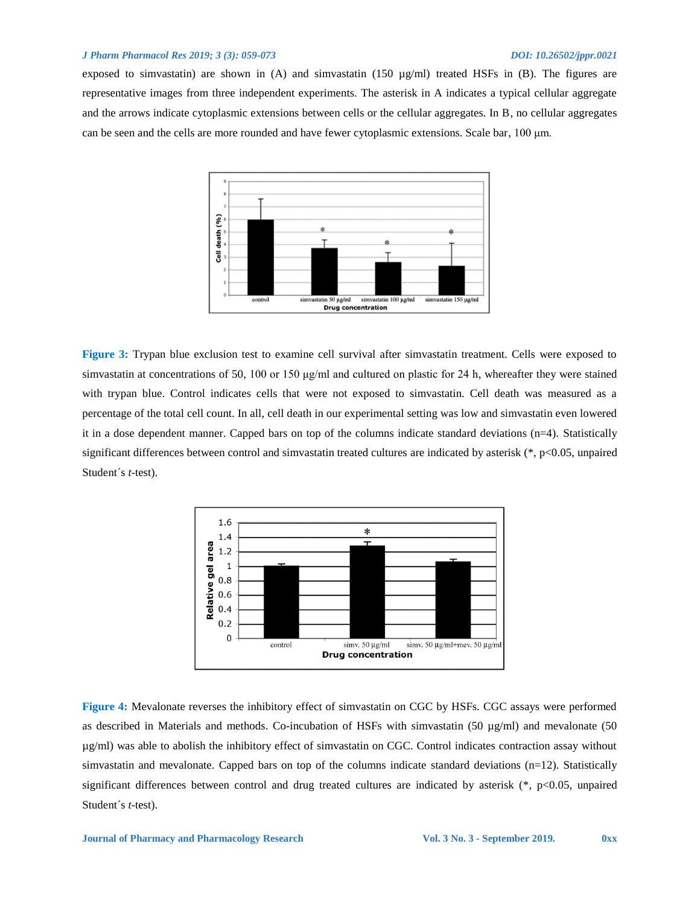exposed to simvastatin) are shown in  $(A)$  and simvastatin  $(150 \text{ µg/ml})$  treated HSFs in  $(B)$ . The figures are representative images from three independent experiments. The asterisk in A indicates a typical cellular aggregate and the arrows indicate cytoplasmic extensions between cells or the cellular aggregates. In B, no cellular aggregates can be seen and the cells are more rounded and have fewer cytoplasmic extensions. Scale bar, 100 μm.



**Figure 3:** Trypan blue exclusion test to examine cell survival after simvastatin treatment. Cells were exposed to simvastatin at concentrations of 50, 100 or 150 μg/ml and cultured on plastic for 24 h, whereafter they were stained with trypan blue. Control indicates cells that were not exposed to simvastatin. Cell death was measured as a percentage of the total cell count. In all, cell death in our experimental setting was low and simvastatin even lowered it in a dose dependent manner. Capped bars on top of the columns indicate standard deviations (n=4). Statistically significant differences between control and simvastatin treated cultures are indicated by asterisk (\*, p<0.05, unpaired Student´s *t*-test).



**Figure 4:** Mevalonate reverses the inhibitory effect of simvastatin on CGC by HSFs. CGC assays were performed as described in Materials and methods. Co-incubation of HSFs with simvastatin (50 µg/ml) and mevalonate (50 µg/ml) was able to abolish the inhibitory effect of simvastatin on CGC. Control indicates contraction assay without simvastatin and mevalonate. Capped bars on top of the columns indicate standard deviations (n=12). Statistically significant differences between control and drug treated cultures are indicated by asterisk  $(*, p<0.05,$  unpaired Student´s *t*-test).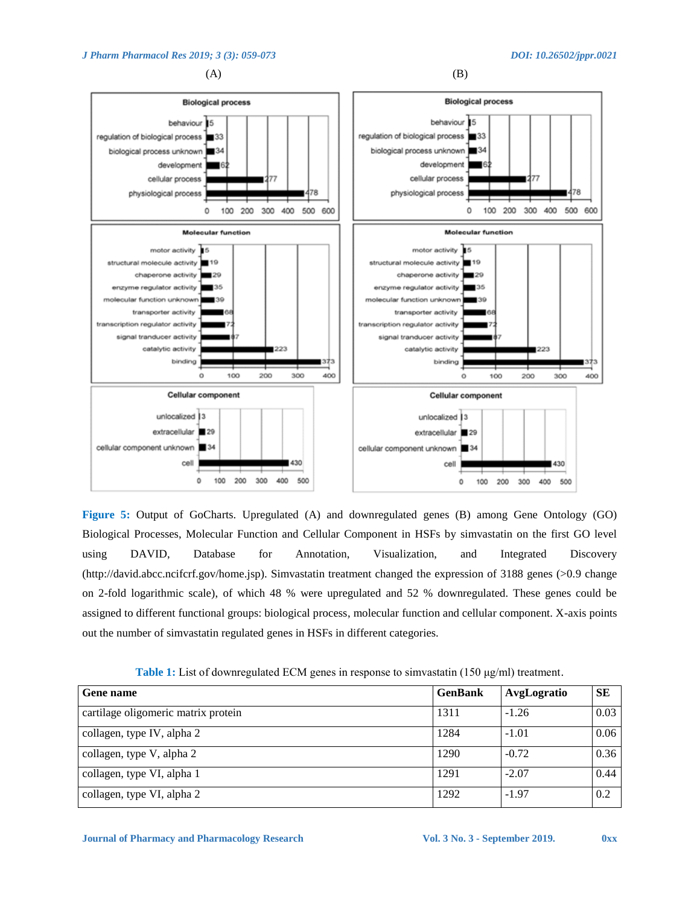$(A)$  (B)



**Figure 5:** Output of GoCharts. Upregulated (A) and downregulated genes (B) among Gene Ontology (GO) Biological Processes, Molecular Function and Cellular Component in HSFs by simvastatin on the first GO level using DAVID, Database for Annotation, Visualization, and Integrated Discovery (http://david.abcc.ncifcrf.gov/home.jsp). Simvastatin treatment changed the expression of 3188 genes (>0.9 change on 2-fold logarithmic scale), of which 48 % were upregulated and 52 % downregulated. These genes could be assigned to different functional groups: biological process, molecular function and cellular component. X-axis points out the number of simvastatin regulated genes in HSFs in different categories.

**Table 1:** List of downregulated ECM genes in response to simvastatin (150 μg/ml) treatment.

| <b>Gene name</b>                    | <b>GenBank</b> | AvgLogratio | <b>SE</b> |
|-------------------------------------|----------------|-------------|-----------|
| cartilage oligomeric matrix protein | 1311           | $-1.26$     | 0.03      |
| collagen, type IV, alpha 2          | 1284           | $-1.01$     | 0.06      |
| collagen, type V, alpha 2           | 1290           | $-0.72$     | 0.36      |
| collagen, type VI, alpha 1          | 1291           | $-2.07$     | 0.44      |
| collagen, type VI, alpha 2          | 1292           | $-1.97$     | 0.2       |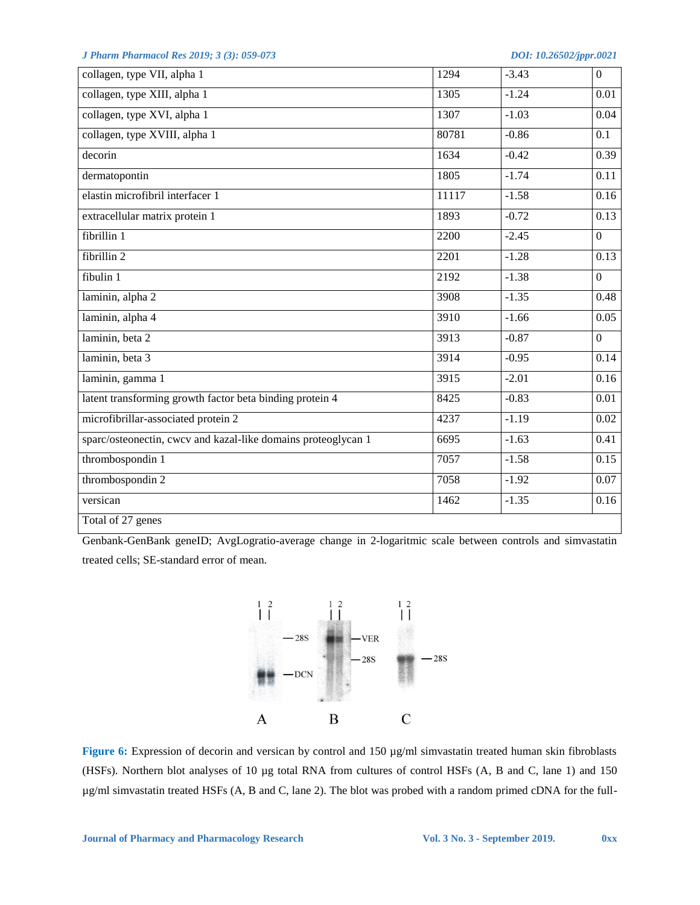| collagen, type VII, alpha 1                                   | 1294  | $-3.43$ | $\mathbf{0}$      |
|---------------------------------------------------------------|-------|---------|-------------------|
| collagen, type XIII, alpha 1                                  | 1305  | $-1.24$ | 0.01              |
| collagen, type XVI, alpha 1                                   | 1307  | $-1.03$ | 0.04              |
| collagen, type XVIII, alpha 1                                 | 80781 | $-0.86$ | 0.1               |
| decorin                                                       | 1634  | $-0.42$ | 0.39              |
| dermatopontin                                                 | 1805  | $-1.74$ | 0.11              |
| elastin microfibril interfacer 1                              | 11117 | $-1.58$ | 0.16              |
| extracellular matrix protein 1                                | 1893  | $-0.72$ | $\overline{0.13}$ |
| fibrillin 1                                                   | 2200  | $-2.45$ | $\overline{0}$    |
| fibrillin 2                                                   | 2201  | $-1.28$ | 0.13              |
| fibulin 1                                                     | 2192  | $-1.38$ | $\overline{0}$    |
| laminin, alpha 2                                              | 3908  | $-1.35$ | 0.48              |
| laminin, alpha 4                                              | 3910  | $-1.66$ | 0.05              |
| laminin, beta 2                                               | 3913  | $-0.87$ | $\overline{0}$    |
| laminin, beta 3                                               | 3914  | $-0.95$ | 0.14              |
| laminin, gamma 1                                              | 3915  | $-2.01$ | 0.16              |
| latent transforming growth factor beta binding protein 4      | 8425  | $-0.83$ | $\overline{0.01}$ |
| microfibrillar-associated protein 2                           | 4237  | $-1.19$ | $\overline{0.02}$ |
| sparc/osteonectin, cwcv and kazal-like domains proteoglycan 1 | 6695  | $-1.63$ | 0.41              |
| thrombospondin 1                                              | 7057  | $-1.58$ | 0.15              |
| thrombospondin 2                                              | 7058  | $-1.92$ | 0.07              |
| versican                                                      | 1462  | $-1.35$ | 0.16              |
| Total of 27 genes                                             |       |         |                   |

Genbank-GenBank geneID; AvgLogratio-average change in 2-logaritmic scale between controls and simvastatin treated cells; SE-standard error of mean.



**Figure 6:** Expression of decorin and versican by control and 150 µg/ml simvastatin treated human skin fibroblasts (HSFs). Northern blot analyses of 10 µg total RNA from cultures of control HSFs (A, B and C, lane 1) and 150 µg/ml simvastatin treated HSFs (A, B and C, lane 2). The blot was probed with a random primed cDNA for the full-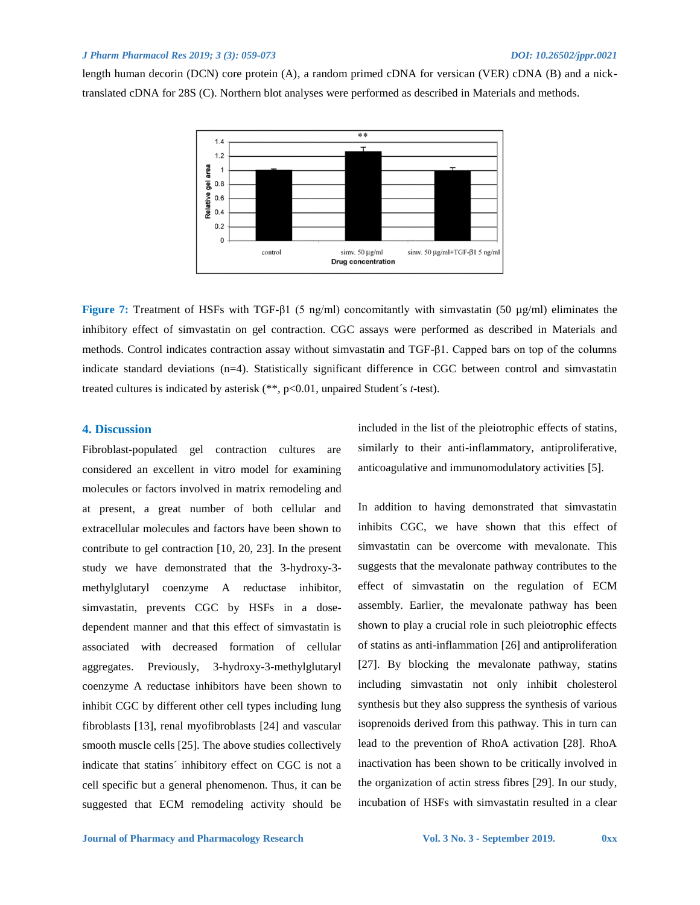length human decorin (DCN) core protein (A), a random primed cDNA for versican (VER) cDNA (B) and a nicktranslated cDNA for 28S (C). Northern blot analyses were performed as described in Materials and methods.



**Figure 7:** Treatment of HSFs with TGF-β1 (5 ng/ml) concomitantly with simvastatin (50 µg/ml) eliminates the inhibitory effect of simvastatin on gel contraction. CGC assays were performed as described in Materials and methods. Control indicates contraction assay without simvastatin and TGF-β1. Capped bars on top of the columns indicate standard deviations (n=4). Statistically significant difference in CGC between control and simvastatin treated cultures is indicated by asterisk (\*\*, p<0.01, unpaired Student's *t*-test).

### **4. Discussion**

Fibroblast-populated gel contraction cultures are considered an excellent in vitro model for examining molecules or factors involved in matrix remodeling and at present, a great number of both cellular and extracellular molecules and factors have been shown to contribute to gel contraction [10, 20, 23]. In the present study we have demonstrated that the 3-hydroxy-3 methylglutaryl coenzyme A reductase inhibitor, simvastatin, prevents CGC by HSFs in a dosedependent manner and that this effect of simvastatin is associated with decreased formation of cellular aggregates. Previously, 3-hydroxy-3-methylglutaryl coenzyme A reductase inhibitors have been shown to inhibit CGC by different other cell types including lung fibroblasts [13], renal myofibroblasts [24] and vascular smooth muscle cells [25]. The above studies collectively indicate that statins´ inhibitory effect on CGC is not a cell specific but a general phenomenon. Thus, it can be suggested that ECM remodeling activity should be included in the list of the pleiotrophic effects of statins, similarly to their anti-inflammatory, antiproliferative, anticoagulative and immunomodulatory activities [5].

In addition to having demonstrated that simvastatin inhibits CGC, we have shown that this effect of simvastatin can be overcome with mevalonate. This suggests that the mevalonate pathway contributes to the effect of simvastatin on the regulation of ECM assembly. Earlier, the mevalonate pathway has been shown to play a crucial role in such pleiotrophic effects of statins as anti-inflammation [26] and antiproliferation [27]. By blocking the mevalonate pathway, statins including simvastatin not only inhibit cholesterol synthesis but they also suppress the synthesis of various isoprenoids derived from this pathway. This in turn can lead to the prevention of RhoA activation [28]. RhoA inactivation has been shown to be critically involved in the organization of actin stress fibres [29]. In our study, incubation of HSFs with simvastatin resulted in a clear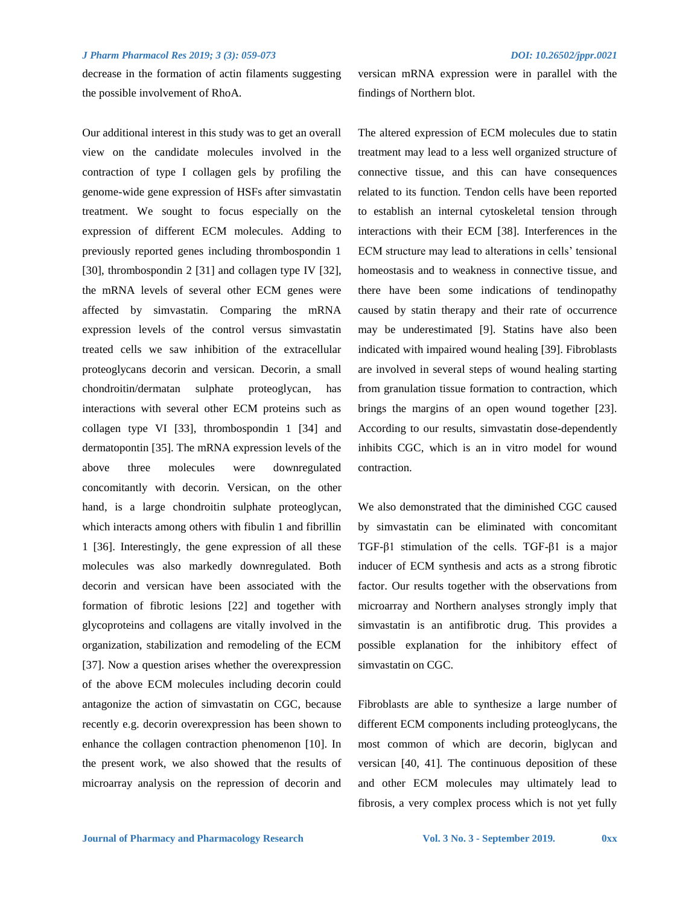decrease in the formation of actin filaments suggesting the possible involvement of RhoA.

Our additional interest in this study was to get an overall view on the candidate molecules involved in the contraction of type I collagen gels by profiling the genome-wide gene expression of HSFs after simvastatin treatment. We sought to focus especially on the expression of different ECM molecules. Adding to previously reported genes including thrombospondin 1 [30], thrombospondin 2 [31] and collagen type IV [32], the mRNA levels of several other ECM genes were affected by simvastatin. Comparing the mRNA expression levels of the control versus simvastatin treated cells we saw inhibition of the extracellular proteoglycans decorin and versican. Decorin, a small chondroitin/dermatan sulphate proteoglycan, has interactions with several other ECM proteins such as collagen type VI [33], thrombospondin 1 [34] and dermatopontin [35]. The mRNA expression levels of the above three molecules were downregulated concomitantly with decorin. Versican, on the other hand, is a large chondroitin sulphate proteoglycan, which interacts among others with fibulin 1 and fibrillin 1 [36]. Interestingly, the gene expression of all these molecules was also markedly downregulated. Both decorin and versican have been associated with the formation of fibrotic lesions [22] and together with glycoproteins and collagens are vitally involved in the organization, stabilization and remodeling of the ECM [37]. Now a question arises whether the overexpression of the above ECM molecules including decorin could antagonize the action of simvastatin on CGC, because recently e.g. decorin overexpression has been shown to enhance the collagen contraction phenomenon [10]. In the present work, we also showed that the results of microarray analysis on the repression of decorin and versican mRNA expression were in parallel with the findings of Northern blot.

The altered expression of ECM molecules due to statin treatment may lead to a less well organized structure of connective tissue, and this can have consequences related to its function. Tendon cells have been reported to establish an internal cytoskeletal tension through interactions with their ECM [38]. Interferences in the ECM structure may lead to alterations in cells' tensional homeostasis and to weakness in connective tissue, and there have been some indications of tendinopathy caused by statin therapy and their rate of occurrence may be underestimated [9]. Statins have also been indicated with impaired wound healing [39]. Fibroblasts are involved in several steps of wound healing starting from granulation tissue formation to contraction, which brings the margins of an open wound together [23]. According to our results, simvastatin dose-dependently inhibits CGC, which is an in vitro model for wound contraction.

We also demonstrated that the diminished CGC caused by simvastatin can be eliminated with concomitant TGF-β1 stimulation of the cells. TGF-β1 is a major inducer of ECM synthesis and acts as a strong fibrotic factor. Our results together with the observations from microarray and Northern analyses strongly imply that simvastatin is an antifibrotic drug. This provides a possible explanation for the inhibitory effect of simvastatin on CGC.

Fibroblasts are able to synthesize a large number of different ECM components including proteoglycans, the most common of which are decorin, biglycan and versican [40, 41]. The continuous deposition of these and other ECM molecules may ultimately lead to fibrosis, a very complex process which is not yet fully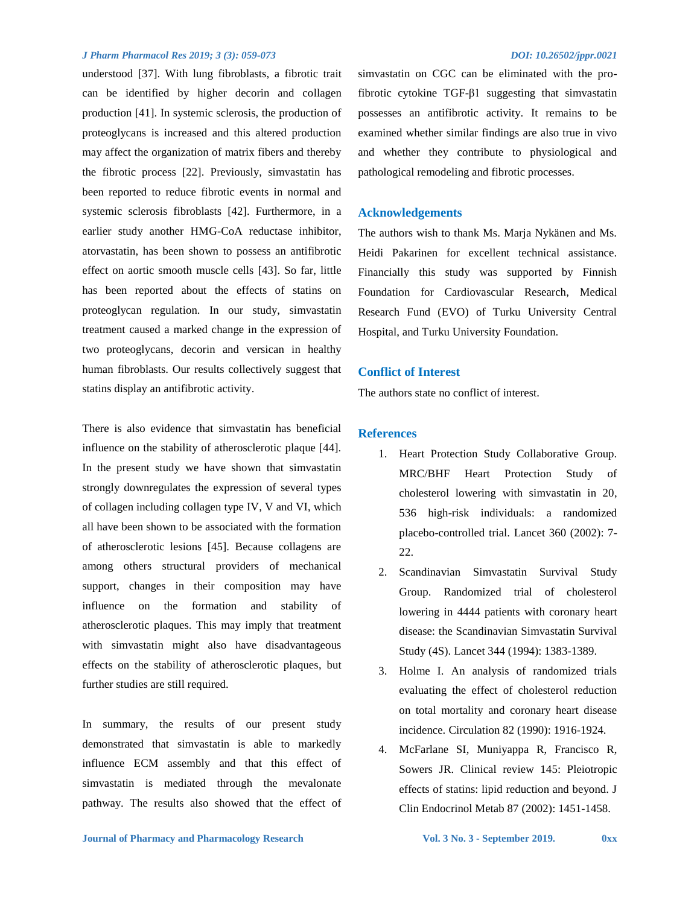understood [37]. With lung fibroblasts, a fibrotic trait can be identified by higher decorin and collagen production [41]. In systemic sclerosis, the production of proteoglycans is increased and this altered production may affect the organization of matrix fibers and thereby the fibrotic process [22]. Previously, simvastatin has been reported to reduce fibrotic events in normal and systemic sclerosis fibroblasts [42]. Furthermore, in a earlier study another HMG-CoA reductase inhibitor, atorvastatin, has been shown to possess an antifibrotic effect on aortic smooth muscle cells [43]. So far, little has been reported about the effects of statins on proteoglycan regulation. In our study, simvastatin treatment caused a marked change in the expression of two proteoglycans, decorin and versican in healthy human fibroblasts. Our results collectively suggest that statins display an antifibrotic activity.

There is also evidence that simvastatin has beneficial influence on the stability of atherosclerotic plaque [44]. In the present study we have shown that simvastatin strongly downregulates the expression of several types of collagen including collagen type IV, V and VI, which all have been shown to be associated with the formation of atherosclerotic lesions [45]. Because collagens are among others structural providers of mechanical support, changes in their composition may have influence on the formation and stability of atherosclerotic plaques. This may imply that treatment with simvastatin might also have disadvantageous effects on the stability of atherosclerotic plaques, but further studies are still required.

In summary, the results of our present study demonstrated that simvastatin is able to markedly influence ECM assembly and that this effect of simvastatin is mediated through the mevalonate pathway. The results also showed that the effect of simvastatin on CGC can be eliminated with the profibrotic cytokine TGF-β1 suggesting that simvastatin possesses an antifibrotic activity. It remains to be examined whether similar findings are also true in vivo and whether they contribute to physiological and pathological remodeling and fibrotic processes.

#### **Acknowledgements**

The authors wish to thank Ms. Marja Nykänen and Ms. Heidi Pakarinen for excellent technical assistance. Financially this study was supported by Finnish Foundation for Cardiovascular Research, Medical Research Fund (EVO) of Turku University Central Hospital, and Turku University Foundation.

#### **Conflict of Interest**

The authors state no conflict of interest.

### **References**

- 1. Heart Protection Study Collaborative Group. MRC/BHF Heart Protection Study of cholesterol lowering with simvastatin in 20, 536 high-risk individuals: a randomized placebo-controlled trial. Lancet 360 (2002): 7- 22.
- 2. Scandinavian Simvastatin Survival Study Group. Randomized trial of cholesterol lowering in 4444 patients with coronary heart disease: the Scandinavian Simvastatin Survival Study (4S). Lancet 344 (1994): 1383-1389.
- 3. Holme I. An analysis of randomized trials evaluating the effect of cholesterol reduction on total mortality and coronary heart disease incidence. Circulation 82 (1990): 1916-1924.
- 4. McFarlane SI, Muniyappa R, Francisco R, Sowers JR. Clinical review 145: Pleiotropic effects of statins: lipid reduction and beyond. J Clin Endocrinol Metab 87 (2002): 1451-1458.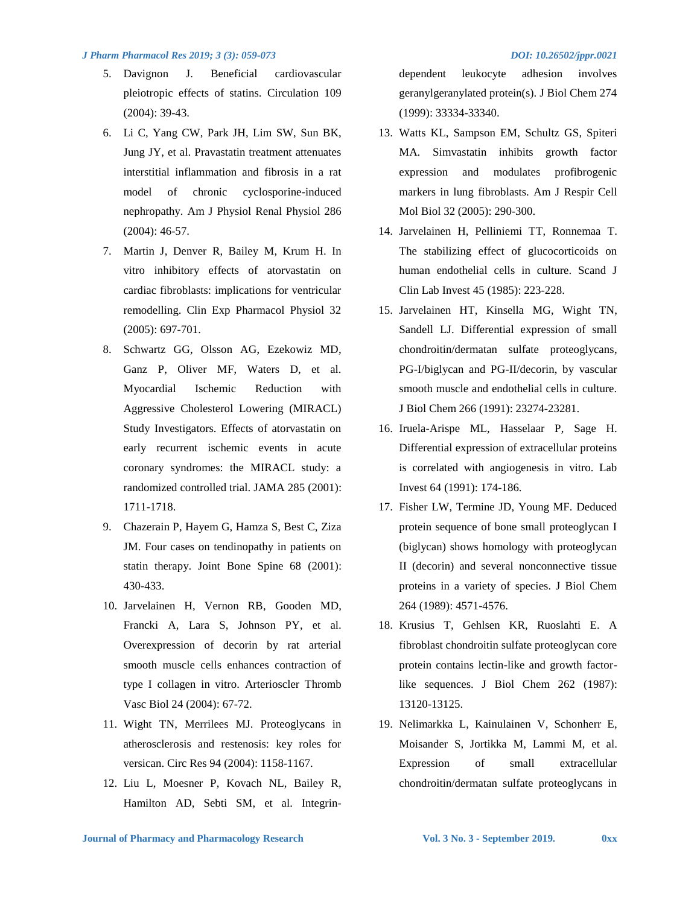- 5. Davignon J. Beneficial cardiovascular pleiotropic effects of statins. Circulation 109 (2004): 39-43.
- 6. Li C, Yang CW, Park JH, Lim SW, Sun BK, Jung JY, et al. Pravastatin treatment attenuates interstitial inflammation and fibrosis in a rat model of chronic cyclosporine-induced nephropathy. Am J Physiol Renal Physiol 286 (2004): 46-57.
- 7. Martin J, Denver R, Bailey M, Krum H. In vitro inhibitory effects of atorvastatin on cardiac fibroblasts: implications for ventricular remodelling. Clin Exp Pharmacol Physiol 32 (2005): 697-701.
- 8. Schwartz GG, Olsson AG, Ezekowiz MD, Ganz P, Oliver MF, Waters D, et al. Myocardial Ischemic Reduction with Aggressive Cholesterol Lowering (MIRACL) Study Investigators. Effects of atorvastatin on early recurrent ischemic events in acute coronary syndromes: the MIRACL study: a randomized controlled trial. JAMA 285 (2001): 1711-1718.
- 9. Chazerain P, Hayem G, Hamza S, Best C, Ziza JM. Four cases on tendinopathy in patients on statin therapy. Joint Bone Spine 68 (2001): 430-433.
- 10. Jarvelainen H, Vernon RB, Gooden MD, Francki A, Lara S, Johnson PY, et al. Overexpression of decorin by rat arterial smooth muscle cells enhances contraction of type I collagen in vitro. Arterioscler Thromb Vasc Biol 24 (2004): 67-72.
- 11. Wight TN, Merrilees MJ. Proteoglycans in atherosclerosis and restenosis: key roles for versican. Circ Res 94 (2004): 1158-1167.
- 12. Liu L, Moesner P, Kovach NL, Bailey R, Hamilton AD, Sebti SM, et al. Integrin-

dependent leukocyte adhesion involves geranylgeranylated protein(s). J Biol Chem 274 (1999): 33334-33340.

- 13. Watts KL, Sampson EM, Schultz GS, Spiteri MA. Simvastatin inhibits growth factor expression and modulates profibrogenic markers in lung fibroblasts. Am J Respir Cell Mol Biol 32 (2005): 290-300.
- 14. Jarvelainen H, Pelliniemi TT, Ronnemaa T. The stabilizing effect of glucocorticoids on human endothelial cells in culture. Scand J Clin Lab Invest 45 (1985): 223-228.
- 15. Jarvelainen HT, Kinsella MG, Wight TN, Sandell LJ. Differential expression of small chondroitin/dermatan sulfate proteoglycans, PG-I/biglycan and PG-II/decorin, by vascular smooth muscle and endothelial cells in culture. J Biol Chem 266 (1991): 23274-23281.
- 16. Iruela-Arispe ML, Hasselaar P, Sage H. Differential expression of extracellular proteins is correlated with angiogenesis in vitro. Lab Invest 64 (1991): 174-186.
- 17. Fisher LW, Termine JD, Young MF. Deduced protein sequence of bone small proteoglycan I (biglycan) shows homology with proteoglycan II (decorin) and several nonconnective tissue proteins in a variety of species. J Biol Chem 264 (1989): 4571-4576.
- 18. Krusius T, Gehlsen KR, Ruoslahti E. A fibroblast chondroitin sulfate proteoglycan core protein contains lectin-like and growth factorlike sequences. J Biol Chem 262 (1987): 13120-13125.
- 19. Nelimarkka L, Kainulainen V, Schonherr E, Moisander S, Jortikka M, Lammi M, et al. Expression of small extracellular chondroitin/dermatan sulfate proteoglycans in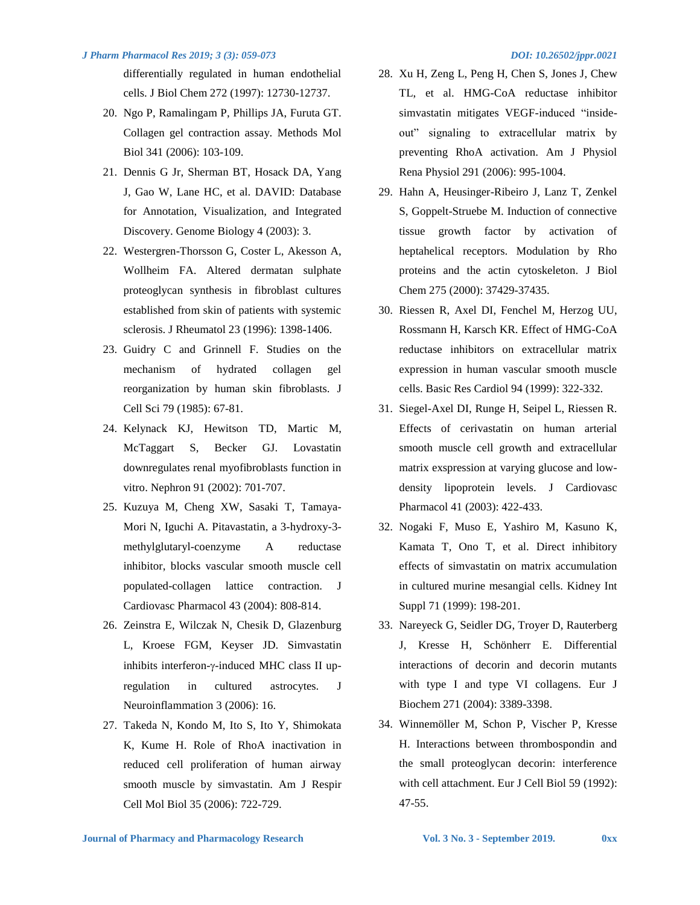differentially regulated in human endothelial cells. J Biol Chem 272 (1997): 12730-12737.

- 20. Ngo P, Ramalingam P, Phillips JA, Furuta GT. Collagen gel contraction assay. Methods Mol Biol 341 (2006): 103-109.
- 21. Dennis G Jr, Sherman BT, Hosack DA, Yang J, Gao W, Lane HC, et al. DAVID: Database for Annotation, Visualization, and Integrated Discovery. Genome Biology 4 (2003): 3.
- 22. Westergren-Thorsson G, Coster L, Akesson A, Wollheim FA. Altered dermatan sulphate proteoglycan synthesis in fibroblast cultures established from skin of patients with systemic sclerosis. J Rheumatol 23 (1996): 1398-1406.
- 23. Guidry C and Grinnell F. Studies on the mechanism of hydrated collagen gel reorganization by human skin fibroblasts. J Cell Sci 79 (1985): 67-81.
- 24. Kelynack KJ, Hewitson TD, Martic M, McTaggart S, Becker GJ. Lovastatin downregulates renal myofibroblasts function in vitro. Nephron 91 (2002): 701-707.
- 25. Kuzuya M, Cheng XW, Sasaki T, Tamaya-Mori N, Iguchi A. Pitavastatin, a 3-hydroxy-3 methylglutaryl-coenzyme A reductase inhibitor, blocks vascular smooth muscle cell populated-collagen lattice contraction. J Cardiovasc Pharmacol 43 (2004): 808-814.
- 26. Zeinstra E, Wilczak N, Chesik D, Glazenburg L, Kroese FGM, Keyser JD. Simvastatin inhibits interferon- $\gamma$ -induced MHC class II upregulation in cultured astrocytes. J Neuroinflammation 3 (2006): 16.
- 27. Takeda N, Kondo M, Ito S, Ito Y, Shimokata K, Kume H. Role of RhoA inactivation in reduced cell proliferation of human airway smooth muscle by simvastatin. Am J Respir Cell Mol Biol 35 (2006): 722-729.

- 28. Xu H, Zeng L, Peng H, Chen S, Jones J, Chew TL, et al. HMG-CoA reductase inhibitor simvastatin mitigates VEGF-induced "insideout" signaling to extracellular matrix by preventing RhoA activation. Am J Physiol Rena Physiol 291 (2006): 995-1004.
- 29. Hahn A, Heusinger-Ribeiro J, Lanz T, Zenkel S, Goppelt-Struebe M. Induction of connective tissue growth factor by activation of heptahelical receptors. Modulation by Rho proteins and the actin cytoskeleton. J Biol Chem 275 (2000): 37429-37435.
- 30. Riessen R, Axel DI, Fenchel M, Herzog UU, Rossmann H, Karsch KR. Effect of HMG-CoA reductase inhibitors on extracellular matrix expression in human vascular smooth muscle cells. Basic Res Cardiol 94 (1999): 322-332.
- 31. Siegel-Axel DI, Runge H, Seipel L, Riessen R. Effects of cerivastatin on human arterial smooth muscle cell growth and extracellular matrix exspression at varying glucose and lowdensity lipoprotein levels. J Cardiovasc Pharmacol 41 (2003): 422-433.
- 32. Nogaki F, Muso E, Yashiro M, Kasuno K, Kamata T, Ono T, et al. Direct inhibitory effects of simvastatin on matrix accumulation in cultured murine mesangial cells. Kidney Int Suppl 71 (1999): 198-201.
- 33. Nareyeck G, Seidler DG, Troyer D, Rauterberg J, Kresse H, Schönherr E. Differential interactions of decorin and decorin mutants with type I and type VI collagens. Eur J Biochem 271 (2004): 3389-3398.
- 34. Winnemöller M, Schon P, Vischer P, Kresse H. Interactions between thrombospondin and the small proteoglycan decorin: interference with cell attachment. Eur J Cell Biol 59 (1992): 47-55.